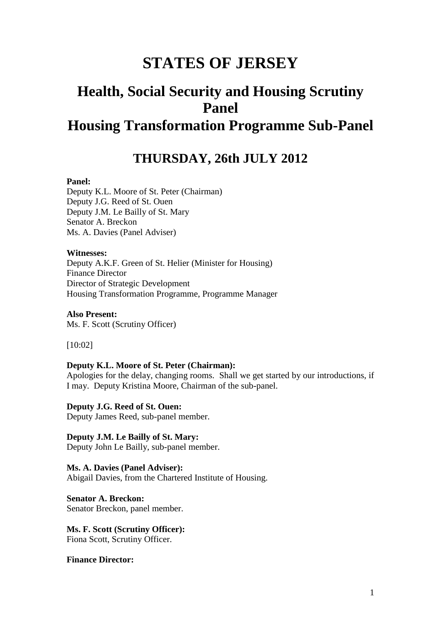# **STATES OF JERSEY**

# **Health, Social Security and Housing Scrutiny Panel Housing Transformation Programme Sub-Panel**

# **THURSDAY, 26th JULY 2012**

#### **Panel:**

Deputy K.L. Moore of St. Peter (Chairman) Deputy J.G. Reed of St. Ouen Deputy J.M. Le Bailly of St. Mary Senator A. Breckon Ms. A. Davies (Panel Adviser)

#### **Witnesses:**

Deputy A.K.F. Green of St. Helier (Minister for Housing) Finance Director Director of Strategic Development Housing Transformation Programme, Programme Manager

**Also Present:** Ms. F. Scott (Scrutiny Officer)

[10:02]

#### **Deputy K.L. Moore of St. Peter (Chairman):**

Apologies for the delay, changing rooms. Shall we get started by our introductions, if I may. Deputy Kristina Moore, Chairman of the sub-panel.

**Deputy J.G. Reed of St. Ouen:** Deputy James Reed, sub-panel member.

**Deputy J.M. Le Bailly of St. Mary:** Deputy John Le Bailly, sub-panel member.

**Ms. A. Davies (Panel Adviser):** Abigail Davies, from the Chartered Institute of Housing.

**Senator A. Breckon:** Senator Breckon, panel member.

**Ms. F. Scott (Scrutiny Officer):** Fiona Scott, Scrutiny Officer.

**Finance Director:**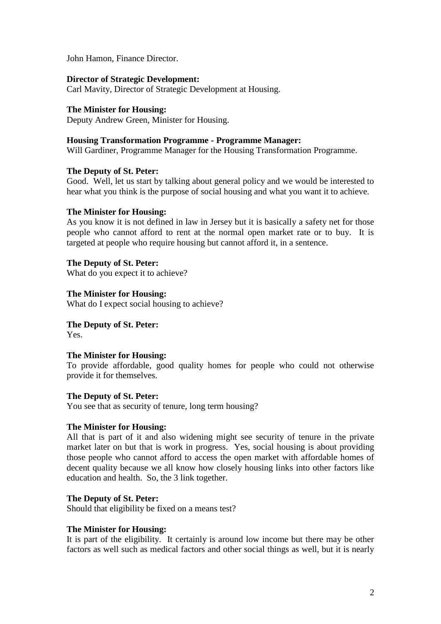John Hamon, Finance Director.

#### **Director of Strategic Development:**

Carl Mavity, Director of Strategic Development at Housing.

**The Minister for Housing:** Deputy Andrew Green, Minister for Housing.

# **Housing Transformation Programme - Programme Manager:**

Will Gardiner, Programme Manager for the Housing Transformation Programme.

#### **The Deputy of St. Peter:**

Good. Well, let us start by talking about general policy and we would be interested to hear what you think is the purpose of social housing and what you want it to achieve.

#### **The Minister for Housing:**

As you know it is not defined in law in Jersey but it is basically a safety net for those people who cannot afford to rent at the normal open market rate or to buy. It is targeted at people who require housing but cannot afford it, in a sentence.

**The Deputy of St. Peter:** What do you expect it to achieve?

**The Minister for Housing:** What do I expect social housing to achieve?

**The Deputy of St. Peter:** Yes.

#### **The Minister for Housing:**

To provide affordable, good quality homes for people who could not otherwise provide it for themselves.

#### **The Deputy of St. Peter:**

You see that as security of tenure, long term housing?

#### **The Minister for Housing:**

All that is part of it and also widening might see security of tenure in the private market later on but that is work in progress. Yes, social housing is about providing those people who cannot afford to access the open market with affordable homes of decent quality because we all know how closely housing links into other factors like education and health. So, the 3 link together.

## **The Deputy of St. Peter:**

Should that eligibility be fixed on a means test?

#### **The Minister for Housing:**

It is part of the eligibility. It certainly is around low income but there may be other factors as well such as medical factors and other social things as well, but it is nearly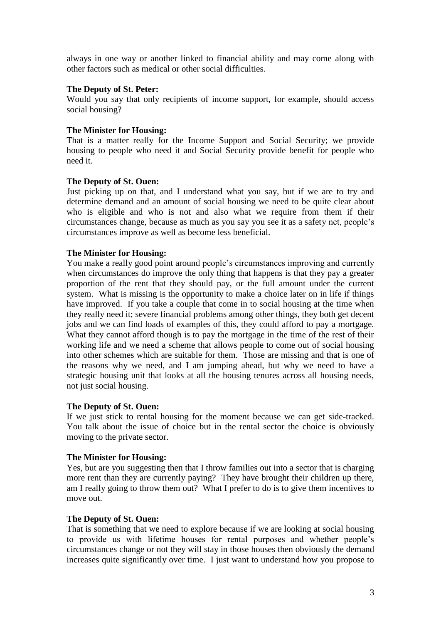always in one way or another linked to financial ability and may come along with other factors such as medical or other social difficulties.

### **The Deputy of St. Peter:**

Would you say that only recipients of income support, for example, should access social housing?

## **The Minister for Housing:**

That is a matter really for the Income Support and Social Security; we provide housing to people who need it and Social Security provide benefit for people who need it.

### **The Deputy of St. Ouen:**

Just picking up on that, and I understand what you say, but if we are to try and determine demand and an amount of social housing we need to be quite clear about who is eligible and who is not and also what we require from them if their circumstances change, because as much as you say you see it as a safety net, people's circumstances improve as well as become less beneficial.

# **The Minister for Housing:**

You make a really good point around people's circumstances improving and currently when circumstances do improve the only thing that happens is that they pay a greater proportion of the rent that they should pay, or the full amount under the current system. What is missing is the opportunity to make a choice later on in life if things have improved. If you take a couple that come in to social housing at the time when they really need it; severe financial problems among other things, they both get decent jobs and we can find loads of examples of this, they could afford to pay a mortgage. What they cannot afford though is to pay the mortgage in the time of the rest of their working life and we need a scheme that allows people to come out of social housing into other schemes which are suitable for them. Those are missing and that is one of the reasons why we need, and I am jumping ahead, but why we need to have a strategic housing unit that looks at all the housing tenures across all housing needs, not just social housing.

### **The Deputy of St. Ouen:**

If we just stick to rental housing for the moment because we can get side-tracked. You talk about the issue of choice but in the rental sector the choice is obviously moving to the private sector.

### **The Minister for Housing:**

Yes, but are you suggesting then that I throw families out into a sector that is charging more rent than they are currently paying? They have brought their children up there, am I really going to throw them out? What I prefer to do is to give them incentives to move out.

### **The Deputy of St. Ouen:**

That is something that we need to explore because if we are looking at social housing to provide us with lifetime houses for rental purposes and whether people's circumstances change or not they will stay in those houses then obviously the demand increases quite significantly over time. I just want to understand how you propose to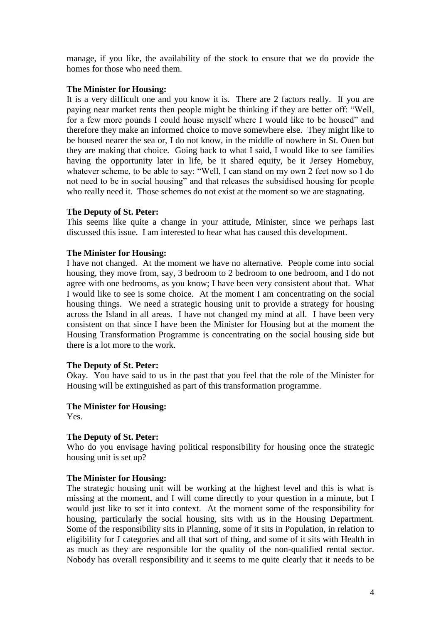manage, if you like, the availability of the stock to ensure that we do provide the homes for those who need them.

# **The Minister for Housing:**

It is a very difficult one and you know it is. There are 2 factors really. If you are paying near market rents then people might be thinking if they are better off: "Well, for a few more pounds I could house myself where I would like to be housed" and therefore they make an informed choice to move somewhere else. They might like to be housed nearer the sea or, I do not know, in the middle of nowhere in St. Ouen but they are making that choice. Going back to what I said, I would like to see families having the opportunity later in life, be it shared equity, be it Jersey Homebuy, whatever scheme, to be able to say: "Well, I can stand on my own 2 feet now so I do not need to be in social housing" and that releases the subsidised housing for people who really need it. Those schemes do not exist at the moment so we are stagnating.

# **The Deputy of St. Peter:**

This seems like quite a change in your attitude, Minister, since we perhaps last discussed this issue. I am interested to hear what has caused this development.

# **The Minister for Housing:**

I have not changed. At the moment we have no alternative. People come into social housing, they move from, say, 3 bedroom to 2 bedroom to one bedroom, and I do not agree with one bedrooms, as you know; I have been very consistent about that. What I would like to see is some choice. At the moment I am concentrating on the social housing things. We need a strategic housing unit to provide a strategy for housing across the Island in all areas. I have not changed my mind at all. I have been very consistent on that since I have been the Minister for Housing but at the moment the Housing Transformation Programme is concentrating on the social housing side but there is a lot more to the work.

### **The Deputy of St. Peter:**

Okay. You have said to us in the past that you feel that the role of the Minister for Housing will be extinguished as part of this transformation programme.

# **The Minister for Housing:**

Yes.

# **The Deputy of St. Peter:**

Who do you envisage having political responsibility for housing once the strategic housing unit is set up?

### **The Minister for Housing:**

The strategic housing unit will be working at the highest level and this is what is missing at the moment, and I will come directly to your question in a minute, but I would just like to set it into context. At the moment some of the responsibility for housing, particularly the social housing, sits with us in the Housing Department. Some of the responsibility sits in Planning, some of it sits in Population, in relation to eligibility for J categories and all that sort of thing, and some of it sits with Health in as much as they are responsible for the quality of the non-qualified rental sector. Nobody has overall responsibility and it seems to me quite clearly that it needs to be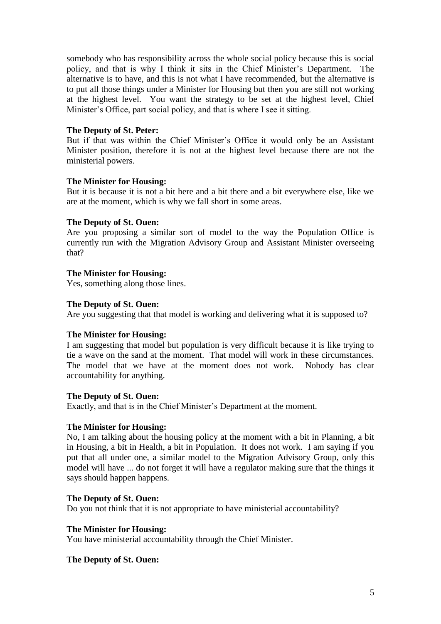somebody who has responsibility across the whole social policy because this is social policy, and that is why I think it sits in the Chief Minister's Department. The alternative is to have, and this is not what I have recommended, but the alternative is to put all those things under a Minister for Housing but then you are still not working at the highest level. You want the strategy to be set at the highest level, Chief Minister's Office, part social policy, and that is where I see it sitting.

#### **The Deputy of St. Peter:**

But if that was within the Chief Minister's Office it would only be an Assistant Minister position, therefore it is not at the highest level because there are not the ministerial powers.

#### **The Minister for Housing:**

But it is because it is not a bit here and a bit there and a bit everywhere else, like we are at the moment, which is why we fall short in some areas.

#### **The Deputy of St. Ouen:**

Are you proposing a similar sort of model to the way the Population Office is currently run with the Migration Advisory Group and Assistant Minister overseeing that?

### **The Minister for Housing:**

Yes, something along those lines.

#### **The Deputy of St. Ouen:**

Are you suggesting that that model is working and delivering what it is supposed to?

### **The Minister for Housing:**

I am suggesting that model but population is very difficult because it is like trying to tie a wave on the sand at the moment. That model will work in these circumstances. The model that we have at the moment does not work. Nobody has clear accountability for anything.

#### **The Deputy of St. Ouen:**

Exactly, and that is in the Chief Minister's Department at the moment.

#### **The Minister for Housing:**

No, I am talking about the housing policy at the moment with a bit in Planning, a bit in Housing, a bit in Health, a bit in Population. It does not work. I am saying if you put that all under one, a similar model to the Migration Advisory Group, only this model will have ... do not forget it will have a regulator making sure that the things it says should happen happens.

# **The Deputy of St. Ouen:**

Do you not think that it is not appropriate to have ministerial accountability?

#### **The Minister for Housing:**

You have ministerial accountability through the Chief Minister.

### **The Deputy of St. Ouen:**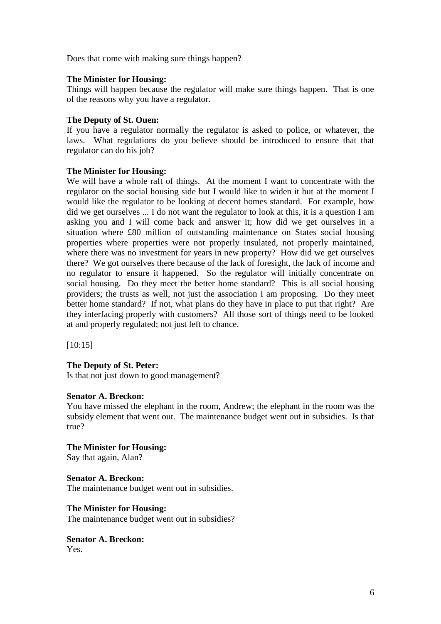Does that come with making sure things happen?

# **The Minister for Housing:**

Things will happen because the regulator will make sure things happen. That is one of the reasons why you have a regulator.

## **The Deputy of St. Ouen:**

If you have a regulator normally the regulator is asked to police, or whatever, the laws. What regulations do you believe should be introduced to ensure that that regulator can do his job?

### **The Minister for Housing:**

We will have a whole raft of things. At the moment I want to concentrate with the regulator on the social housing side but I would like to widen it but at the moment I would like the regulator to be looking at decent homes standard. For example, how did we get ourselves ... I do not want the regulator to look at this, it is a question I am asking you and I will come back and answer it; how did we get ourselves in a situation where £80 million of outstanding maintenance on States social housing properties where properties were not properly insulated, not properly maintained, where there was no investment for years in new property? How did we get ourselves there? We got ourselves there because of the lack of foresight, the lack of income and no regulator to ensure it happened. So the regulator will initially concentrate on social housing. Do they meet the better home standard? This is all social housing providers; the trusts as well, not just the association I am proposing. Do they meet better home standard? If not, what plans do they have in place to put that right? Are they interfacing properly with customers? All those sort of things need to be looked at and properly regulated; not just left to chance.

[10:15]

# **The Deputy of St. Peter:**

Is that not just down to good management?

### **Senator A. Breckon:**

You have missed the elephant in the room, Andrew; the elephant in the room was the subsidy element that went out. The maintenance budget went out in subsidies. Is that true?

### **The Minister for Housing:**

Say that again, Alan?

### **Senator A. Breckon:**

The maintenance budget went out in subsidies.

### **The Minister for Housing:**

The maintenance budget went out in subsidies?

#### **Senator A. Breckon:** Yes.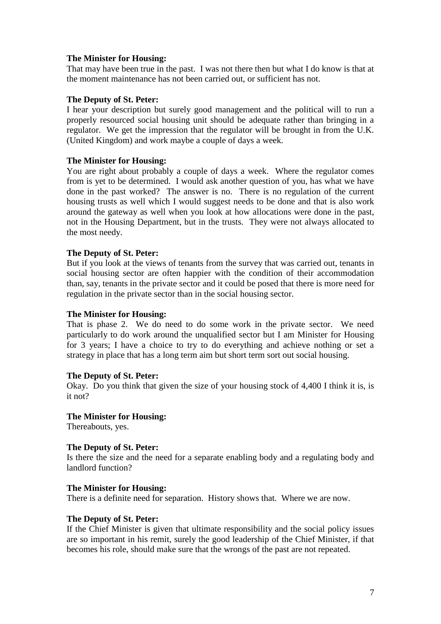That may have been true in the past. I was not there then but what I do know is that at the moment maintenance has not been carried out, or sufficient has not.

# **The Deputy of St. Peter:**

I hear your description but surely good management and the political will to run a properly resourced social housing unit should be adequate rather than bringing in a regulator. We get the impression that the regulator will be brought in from the U.K. (United Kingdom) and work maybe a couple of days a week.

# **The Minister for Housing:**

You are right about probably a couple of days a week. Where the regulator comes from is yet to be determined. I would ask another question of you, has what we have done in the past worked? The answer is no. There is no regulation of the current housing trusts as well which I would suggest needs to be done and that is also work around the gateway as well when you look at how allocations were done in the past, not in the Housing Department, but in the trusts. They were not always allocated to the most needy.

### **The Deputy of St. Peter:**

But if you look at the views of tenants from the survey that was carried out, tenants in social housing sector are often happier with the condition of their accommodation than, say, tenants in the private sector and it could be posed that there is more need for regulation in the private sector than in the social housing sector.

### **The Minister for Housing:**

That is phase 2. We do need to do some work in the private sector. We need particularly to do work around the unqualified sector but I am Minister for Housing for 3 years; I have a choice to try to do everything and achieve nothing or set a strategy in place that has a long term aim but short term sort out social housing.

### **The Deputy of St. Peter:**

Okay. Do you think that given the size of your housing stock of 4,400 I think it is, is it not?

### **The Minister for Housing:**

Thereabouts, yes.

### **The Deputy of St. Peter:**

Is there the size and the need for a separate enabling body and a regulating body and landlord function?

### **The Minister for Housing:**

There is a definite need for separation. History shows that. Where we are now.

### **The Deputy of St. Peter:**

If the Chief Minister is given that ultimate responsibility and the social policy issues are so important in his remit, surely the good leadership of the Chief Minister, if that becomes his role, should make sure that the wrongs of the past are not repeated.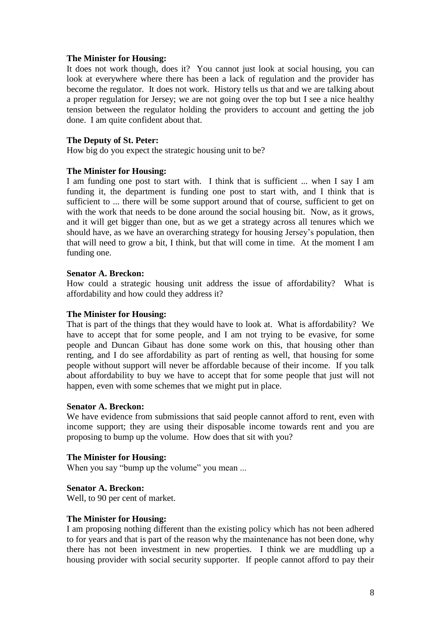It does not work though, does it? You cannot just look at social housing, you can look at everywhere where there has been a lack of regulation and the provider has become the regulator. It does not work. History tells us that and we are talking about a proper regulation for Jersey; we are not going over the top but I see a nice healthy tension between the regulator holding the providers to account and getting the job done. I am quite confident about that.

#### **The Deputy of St. Peter:**

How big do you expect the strategic housing unit to be?

#### **The Minister for Housing:**

I am funding one post to start with. I think that is sufficient ... when I say I am funding it, the department is funding one post to start with, and I think that is sufficient to ... there will be some support around that of course, sufficient to get on with the work that needs to be done around the social housing bit. Now, as it grows, and it will get bigger than one, but as we get a strategy across all tenures which we should have, as we have an overarching strategy for housing Jersey's population, then that will need to grow a bit, I think, but that will come in time. At the moment I am funding one.

#### **Senator A. Breckon:**

How could a strategic housing unit address the issue of affordability? What is affordability and how could they address it?

#### **The Minister for Housing:**

That is part of the things that they would have to look at. What is affordability? We have to accept that for some people, and I am not trying to be evasive, for some people and Duncan Gibaut has done some work on this, that housing other than renting, and I do see affordability as part of renting as well, that housing for some people without support will never be affordable because of their income. If you talk about affordability to buy we have to accept that for some people that just will not happen, even with some schemes that we might put in place.

#### **Senator A. Breckon:**

We have evidence from submissions that said people cannot afford to rent, even with income support; they are using their disposable income towards rent and you are proposing to bump up the volume. How does that sit with you?

### **The Minister for Housing:**

When you say "bump up the volume" you mean ...

### **Senator A. Breckon:**

Well, to 90 per cent of market.

#### **The Minister for Housing:**

I am proposing nothing different than the existing policy which has not been adhered to for years and that is part of the reason why the maintenance has not been done, why there has not been investment in new properties. I think we are muddling up a housing provider with social security supporter. If people cannot afford to pay their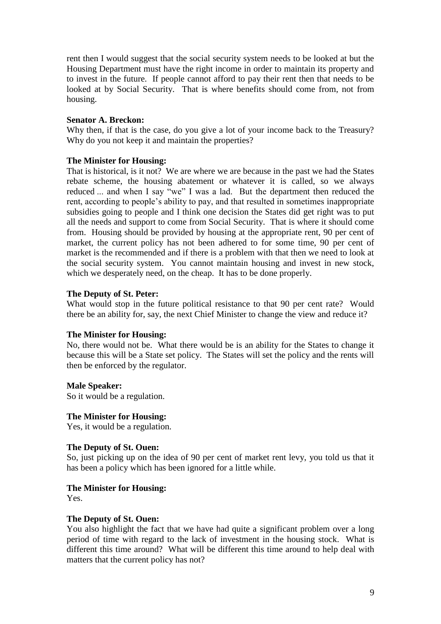rent then I would suggest that the social security system needs to be looked at but the Housing Department must have the right income in order to maintain its property and to invest in the future. If people cannot afford to pay their rent then that needs to be looked at by Social Security. That is where benefits should come from, not from housing.

### **Senator A. Breckon:**

Why then, if that is the case, do you give a lot of your income back to the Treasury? Why do you not keep it and maintain the properties?

# **The Minister for Housing:**

That is historical, is it not? We are where we are because in the past we had the States rebate scheme, the housing abatement or whatever it is called, so we always reduced ... and when I say "we" I was a lad. But the department then reduced the rent, according to people's ability to pay, and that resulted in sometimes inappropriate subsidies going to people and I think one decision the States did get right was to put all the needs and support to come from Social Security. That is where it should come from. Housing should be provided by housing at the appropriate rent, 90 per cent of market, the current policy has not been adhered to for some time, 90 per cent of market is the recommended and if there is a problem with that then we need to look at the social security system. You cannot maintain housing and invest in new stock, which we desperately need, on the cheap. It has to be done properly.

# **The Deputy of St. Peter:**

What would stop in the future political resistance to that 90 per cent rate? Would there be an ability for, say, the next Chief Minister to change the view and reduce it?

### **The Minister for Housing:**

No, there would not be. What there would be is an ability for the States to change it because this will be a State set policy. The States will set the policy and the rents will then be enforced by the regulator.

# **Male Speaker:**

So it would be a regulation.

### **The Minister for Housing:**

Yes, it would be a regulation.

### **The Deputy of St. Ouen:**

So, just picking up on the idea of 90 per cent of market rent levy, you told us that it has been a policy which has been ignored for a little while.

# **The Minister for Housing:**

Yes.

### **The Deputy of St. Ouen:**

You also highlight the fact that we have had quite a significant problem over a long period of time with regard to the lack of investment in the housing stock. What is different this time around? What will be different this time around to help deal with matters that the current policy has not?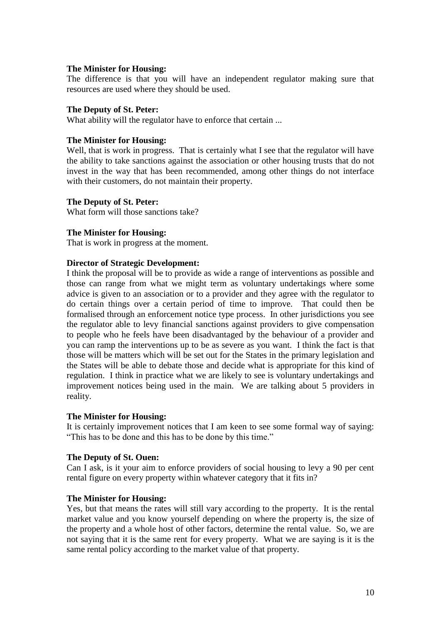The difference is that you will have an independent regulator making sure that resources are used where they should be used.

#### **The Deputy of St. Peter:**

What ability will the regulator have to enforce that certain ...

#### **The Minister for Housing:**

Well, that is work in progress. That is certainly what I see that the regulator will have the ability to take sanctions against the association or other housing trusts that do not invest in the way that has been recommended, among other things do not interface with their customers, do not maintain their property.

#### **The Deputy of St. Peter:**

What form will those sanctions take?

### **The Minister for Housing:**

That is work in progress at the moment.

### **Director of Strategic Development:**

I think the proposal will be to provide as wide a range of interventions as possible and those can range from what we might term as voluntary undertakings where some advice is given to an association or to a provider and they agree with the regulator to do certain things over a certain period of time to improve. That could then be formalised through an enforcement notice type process. In other jurisdictions you see the regulator able to levy financial sanctions against providers to give compensation to people who he feels have been disadvantaged by the behaviour of a provider and you can ramp the interventions up to be as severe as you want. I think the fact is that those will be matters which will be set out for the States in the primary legislation and the States will be able to debate those and decide what is appropriate for this kind of regulation. I think in practice what we are likely to see is voluntary undertakings and improvement notices being used in the main. We are talking about 5 providers in reality.

#### **The Minister for Housing:**

It is certainly improvement notices that I am keen to see some formal way of saying: "This has to be done and this has to be done by this time."

### **The Deputy of St. Ouen:**

Can I ask, is it your aim to enforce providers of social housing to levy a 90 per cent rental figure on every property within whatever category that it fits in?

### **The Minister for Housing:**

Yes, but that means the rates will still vary according to the property. It is the rental market value and you know yourself depending on where the property is, the size of the property and a whole host of other factors, determine the rental value. So, we are not saying that it is the same rent for every property. What we are saying is it is the same rental policy according to the market value of that property.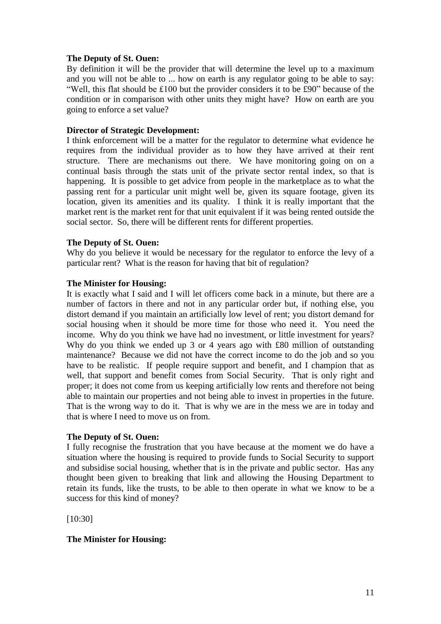## **The Deputy of St. Ouen:**

By definition it will be the provider that will determine the level up to a maximum and you will not be able to ... how on earth is any regulator going to be able to say: "Well, this flat should be £100 but the provider considers it to be £90" because of the condition or in comparison with other units they might have? How on earth are you going to enforce a set value?

## **Director of Strategic Development:**

I think enforcement will be a matter for the regulator to determine what evidence he requires from the individual provider as to how they have arrived at their rent structure. There are mechanisms out there. We have monitoring going on on a continual basis through the stats unit of the private sector rental index, so that is happening. It is possible to get advice from people in the marketplace as to what the passing rent for a particular unit might well be, given its square footage, given its location, given its amenities and its quality. I think it is really important that the market rent is the market rent for that unit equivalent if it was being rented outside the social sector. So, there will be different rents for different properties.

### **The Deputy of St. Ouen:**

Why do you believe it would be necessary for the regulator to enforce the levy of a particular rent? What is the reason for having that bit of regulation?

# **The Minister for Housing:**

It is exactly what I said and I will let officers come back in a minute, but there are a number of factors in there and not in any particular order but, if nothing else, you distort demand if you maintain an artificially low level of rent; you distort demand for social housing when it should be more time for those who need it. You need the income. Why do you think we have had no investment, or little investment for years? Why do you think we ended up 3 or 4 years ago with £80 million of outstanding maintenance? Because we did not have the correct income to do the job and so you have to be realistic. If people require support and benefit, and I champion that as well, that support and benefit comes from Social Security. That is only right and proper; it does not come from us keeping artificially low rents and therefore not being able to maintain our properties and not being able to invest in properties in the future. That is the wrong way to do it. That is why we are in the mess we are in today and that is where I need to move us on from.

# **The Deputy of St. Ouen:**

I fully recognise the frustration that you have because at the moment we do have a situation where the housing is required to provide funds to Social Security to support and subsidise social housing, whether that is in the private and public sector. Has any thought been given to breaking that link and allowing the Housing Department to retain its funds, like the trusts, to be able to then operate in what we know to be a success for this kind of money?

[10:30]

# **The Minister for Housing:**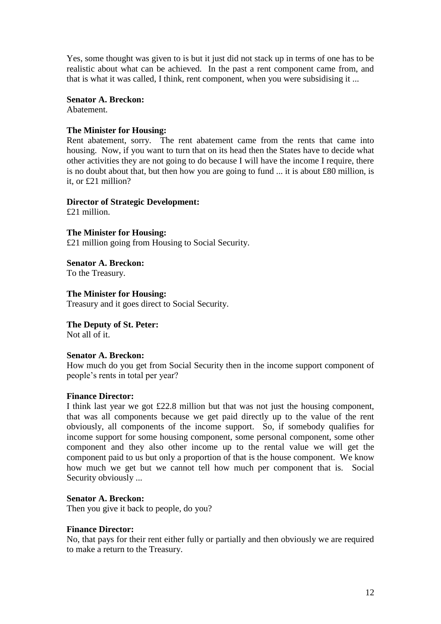Yes, some thought was given to is but it just did not stack up in terms of one has to be realistic about what can be achieved. In the past a rent component came from, and that is what it was called, I think, rent component, when you were subsidising it ...

**Senator A. Breckon:**

Abatement.

### **The Minister for Housing:**

Rent abatement, sorry. The rent abatement came from the rents that came into housing. Now, if you want to turn that on its head then the States have to decide what other activities they are not going to do because I will have the income I require, there is no doubt about that, but then how you are going to fund ... it is about £80 million, is it, or £21 million?

### **Director of Strategic Development:**

£21 million.

**The Minister for Housing:** £21 million going from Housing to Social Security.

**Senator A. Breckon:**  To the Treasury.

**The Minister for Housing:** Treasury and it goes direct to Social Security.

**The Deputy of St. Peter:** Not all of it.

## **Senator A. Breckon:**

How much do you get from Social Security then in the income support component of people's rents in total per year?

### **Finance Director:**

I think last year we got £22.8 million but that was not just the housing component, that was all components because we get paid directly up to the value of the rent obviously, all components of the income support. So, if somebody qualifies for income support for some housing component, some personal component, some other component and they also other income up to the rental value we will get the component paid to us but only a proportion of that is the house component. We know how much we get but we cannot tell how much per component that is. Social Security obviously ...

## **Senator A. Breckon:**

Then you give it back to people, do you?

### **Finance Director:**

No, that pays for their rent either fully or partially and then obviously we are required to make a return to the Treasury.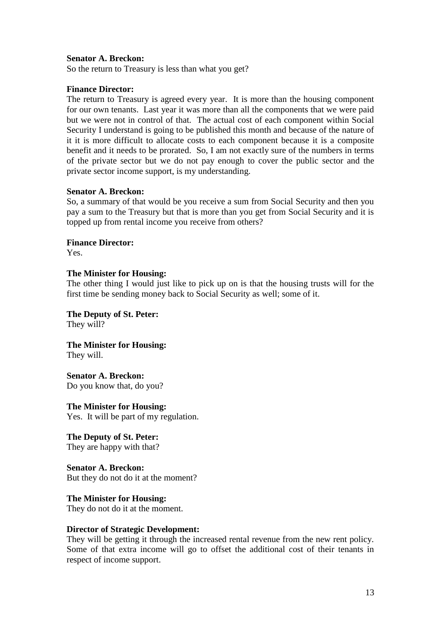#### **Senator A. Breckon:**

So the return to Treasury is less than what you get?

#### **Finance Director:**

The return to Treasury is agreed every year. It is more than the housing component for our own tenants. Last year it was more than all the components that we were paid but we were not in control of that. The actual cost of each component within Social Security I understand is going to be published this month and because of the nature of it it is more difficult to allocate costs to each component because it is a composite benefit and it needs to be prorated. So, I am not exactly sure of the numbers in terms of the private sector but we do not pay enough to cover the public sector and the private sector income support, is my understanding.

#### **Senator A. Breckon:**

So, a summary of that would be you receive a sum from Social Security and then you pay a sum to the Treasury but that is more than you get from Social Security and it is topped up from rental income you receive from others?

#### **Finance Director:**

Yes.

#### **The Minister for Housing:**

The other thing I would just like to pick up on is that the housing trusts will for the first time be sending money back to Social Security as well; some of it.

**The Deputy of St. Peter:** They will?

**The Minister for Housing:**  They will.

**Senator A. Breckon:** Do you know that, do you?

**The Minister for Housing:** Yes. It will be part of my regulation.

**The Deputy of St. Peter:** They are happy with that?

**Senator A. Breckon:** But they do not do it at the moment?

**The Minister for Housing:**

They do not do it at the moment.

#### **Director of Strategic Development:**

They will be getting it through the increased rental revenue from the new rent policy. Some of that extra income will go to offset the additional cost of their tenants in respect of income support.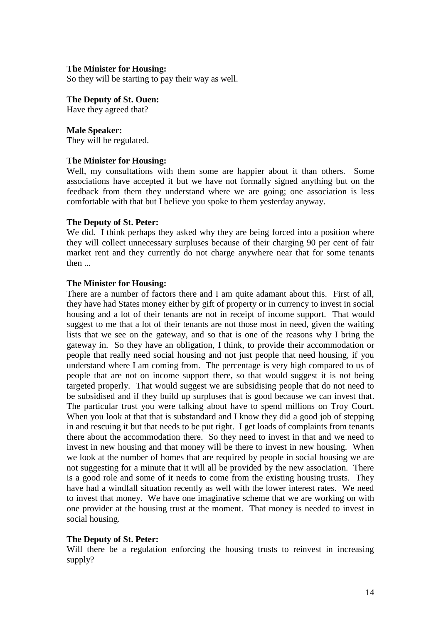So they will be starting to pay their way as well.

#### **The Deputy of St. Ouen:**

Have they agreed that?

#### **Male Speaker:**

They will be regulated.

### **The Minister for Housing:**

Well, my consultations with them some are happier about it than others. Some associations have accepted it but we have not formally signed anything but on the feedback from them they understand where we are going; one association is less comfortable with that but I believe you spoke to them yesterday anyway.

#### **The Deputy of St. Peter:**

We did. I think perhaps they asked why they are being forced into a position where they will collect unnecessary surpluses because of their charging 90 per cent of fair market rent and they currently do not charge anywhere near that for some tenants then ...

### **The Minister for Housing:**

There are a number of factors there and I am quite adamant about this. First of all, they have had States money either by gift of property or in currency to invest in social housing and a lot of their tenants are not in receipt of income support. That would suggest to me that a lot of their tenants are not those most in need, given the waiting lists that we see on the gateway, and so that is one of the reasons why I bring the gateway in. So they have an obligation, I think, to provide their accommodation or people that really need social housing and not just people that need housing, if you understand where I am coming from. The percentage is very high compared to us of people that are not on income support there, so that would suggest it is not being targeted properly. That would suggest we are subsidising people that do not need to be subsidised and if they build up surpluses that is good because we can invest that. The particular trust you were talking about have to spend millions on Troy Court. When you look at that that is substandard and I know they did a good job of stepping in and rescuing it but that needs to be put right. I get loads of complaints from tenants there about the accommodation there. So they need to invest in that and we need to invest in new housing and that money will be there to invest in new housing. When we look at the number of homes that are required by people in social housing we are not suggesting for a minute that it will all be provided by the new association. There is a good role and some of it needs to come from the existing housing trusts. They have had a windfall situation recently as well with the lower interest rates. We need to invest that money. We have one imaginative scheme that we are working on with one provider at the housing trust at the moment. That money is needed to invest in social housing.

#### **The Deputy of St. Peter:**

Will there be a regulation enforcing the housing trusts to reinvest in increasing supply?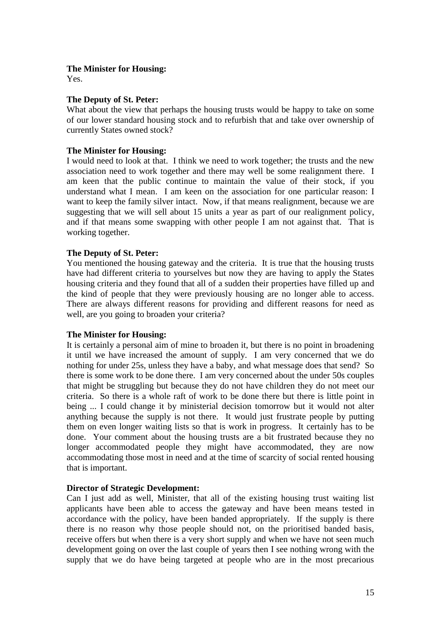Yes.

# **The Deputy of St. Peter:**

What about the view that perhaps the housing trusts would be happy to take on some of our lower standard housing stock and to refurbish that and take over ownership of currently States owned stock?

# **The Minister for Housing:**

I would need to look at that. I think we need to work together; the trusts and the new association need to work together and there may well be some realignment there. I am keen that the public continue to maintain the value of their stock, if you understand what I mean. I am keen on the association for one particular reason: I want to keep the family silver intact. Now, if that means realignment, because we are suggesting that we will sell about 15 units a year as part of our realignment policy, and if that means some swapping with other people I am not against that. That is working together.

### **The Deputy of St. Peter:**

You mentioned the housing gateway and the criteria. It is true that the housing trusts have had different criteria to yourselves but now they are having to apply the States housing criteria and they found that all of a sudden their properties have filled up and the kind of people that they were previously housing are no longer able to access. There are always different reasons for providing and different reasons for need as well, are you going to broaden your criteria?

### **The Minister for Housing:**

It is certainly a personal aim of mine to broaden it, but there is no point in broadening it until we have increased the amount of supply. I am very concerned that we do nothing for under 25s, unless they have a baby, and what message does that send? So there is some work to be done there. I am very concerned about the under 50s couples that might be struggling but because they do not have children they do not meet our criteria. So there is a whole raft of work to be done there but there is little point in being ... I could change it by ministerial decision tomorrow but it would not alter anything because the supply is not there. It would just frustrate people by putting them on even longer waiting lists so that is work in progress. It certainly has to be done. Your comment about the housing trusts are a bit frustrated because they no longer accommodated people they might have accommodated, they are now accommodating those most in need and at the time of scarcity of social rented housing that is important.

# **Director of Strategic Development:**

Can I just add as well, Minister, that all of the existing housing trust waiting list applicants have been able to access the gateway and have been means tested in accordance with the policy, have been banded appropriately. If the supply is there there is no reason why those people should not, on the prioritised banded basis, receive offers but when there is a very short supply and when we have not seen much development going on over the last couple of years then I see nothing wrong with the supply that we do have being targeted at people who are in the most precarious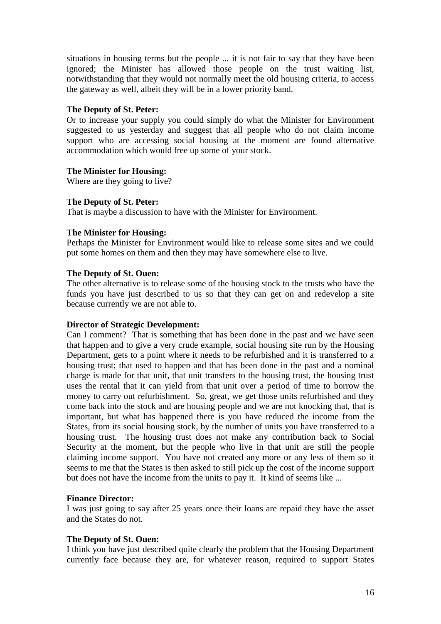situations in housing terms but the people ... it is not fair to say that they have been ignored; the Minister has allowed those people on the trust waiting list, notwithstanding that they would not normally meet the old housing criteria, to access the gateway as well, albeit they will be in a lower priority band.

# **The Deputy of St. Peter:**

Or to increase your supply you could simply do what the Minister for Environment suggested to us yesterday and suggest that all people who do not claim income support who are accessing social housing at the moment are found alternative accommodation which would free up some of your stock.

# **The Minister for Housing:**

Where are they going to live?

# **The Deputy of St. Peter:**

That is maybe a discussion to have with the Minister for Environment.

# **The Minister for Housing:**

Perhaps the Minister for Environment would like to release some sites and we could put some homes on them and then they may have somewhere else to live.

# **The Deputy of St. Ouen:**

The other alternative is to release some of the housing stock to the trusts who have the funds you have just described to us so that they can get on and redevelop a site because currently we are not able to.

### **Director of Strategic Development:**

Can I comment? That is something that has been done in the past and we have seen that happen and to give a very crude example, social housing site run by the Housing Department, gets to a point where it needs to be refurbished and it is transferred to a housing trust; that used to happen and that has been done in the past and a nominal charge is made for that unit, that unit transfers to the housing trust, the housing trust uses the rental that it can yield from that unit over a period of time to borrow the money to carry out refurbishment. So, great, we get those units refurbished and they come back into the stock and are housing people and we are not knocking that, that is important, but what has happened there is you have reduced the income from the States, from its social housing stock, by the number of units you have transferred to a housing trust. The housing trust does not make any contribution back to Social Security at the moment, but the people who live in that unit are still the people claiming income support. You have not created any more or any less of them so it seems to me that the States is then asked to still pick up the cost of the income support but does not have the income from the units to pay it. It kind of seems like ...

### **Finance Director:**

I was just going to say after 25 years once their loans are repaid they have the asset and the States do not.

### **The Deputy of St. Ouen:**

I think you have just described quite clearly the problem that the Housing Department currently face because they are, for whatever reason, required to support States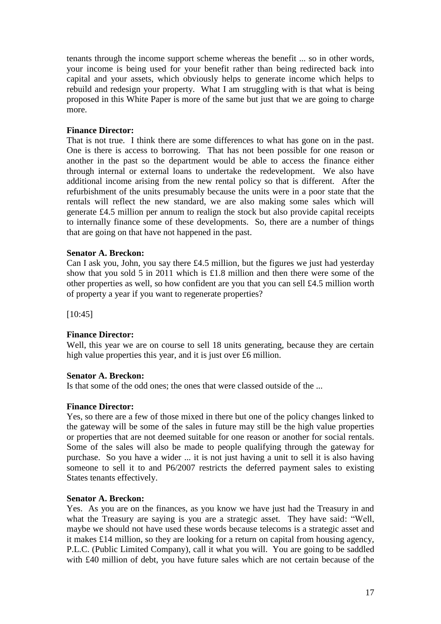tenants through the income support scheme whereas the benefit ... so in other words, your income is being used for your benefit rather than being redirected back into capital and your assets, which obviously helps to generate income which helps to rebuild and redesign your property. What I am struggling with is that what is being proposed in this White Paper is more of the same but just that we are going to charge more.

### **Finance Director:**

That is not true. I think there are some differences to what has gone on in the past. One is there is access to borrowing. That has not been possible for one reason or another in the past so the department would be able to access the finance either through internal or external loans to undertake the redevelopment. We also have additional income arising from the new rental policy so that is different. After the refurbishment of the units presumably because the units were in a poor state that the rentals will reflect the new standard, we are also making some sales which will generate £4.5 million per annum to realign the stock but also provide capital receipts to internally finance some of these developments. So, there are a number of things that are going on that have not happened in the past.

#### **Senator A. Breckon:**

Can I ask you, John, you say there £4.5 million, but the figures we just had yesterday show that you sold 5 in 2011 which is £1.8 million and then there were some of the other properties as well, so how confident are you that you can sell £4.5 million worth of property a year if you want to regenerate properties?

[10:45]

### **Finance Director:**

Well, this year we are on course to sell 18 units generating, because they are certain high value properties this year, and it is just over £6 million.

### **Senator A. Breckon:**

Is that some of the odd ones; the ones that were classed outside of the ...

### **Finance Director:**

Yes, so there are a few of those mixed in there but one of the policy changes linked to the gateway will be some of the sales in future may still be the high value properties or properties that are not deemed suitable for one reason or another for social rentals. Some of the sales will also be made to people qualifying through the gateway for purchase. So you have a wider ... it is not just having a unit to sell it is also having someone to sell it to and P6/2007 restricts the deferred payment sales to existing States tenants effectively.

### **Senator A. Breckon:**

Yes. As you are on the finances, as you know we have just had the Treasury in and what the Treasury are saying is you are a strategic asset. They have said: "Well, maybe we should not have used these words because telecoms is a strategic asset and it makes £14 million, so they are looking for a return on capital from housing agency, P.L.C. (Public Limited Company), call it what you will. You are going to be saddled with £40 million of debt, you have future sales which are not certain because of the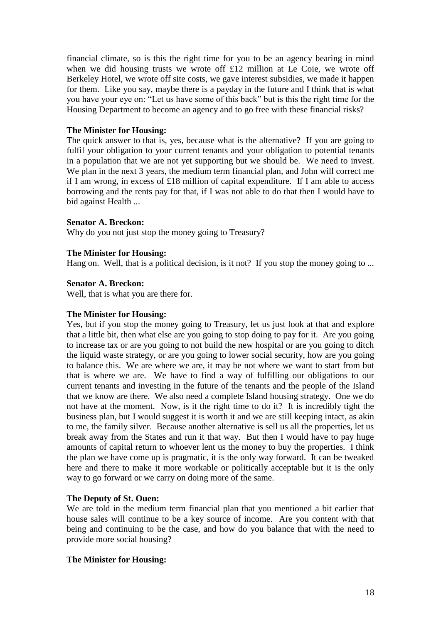financial climate, so is this the right time for you to be an agency bearing in mind when we did housing trusts we wrote off £12 million at Le Coie, we wrote off Berkeley Hotel, we wrote off site costs, we gave interest subsidies, we made it happen for them. Like you say, maybe there is a payday in the future and I think that is what you have your eye on: "Let us have some of this back" but is this the right time for the Housing Department to become an agency and to go free with these financial risks?

### **The Minister for Housing:**

The quick answer to that is, yes, because what is the alternative? If you are going to fulfil your obligation to your current tenants and your obligation to potential tenants in a population that we are not yet supporting but we should be. We need to invest. We plan in the next 3 years, the medium term financial plan, and John will correct me if I am wrong, in excess of £18 million of capital expenditure. If I am able to access borrowing and the rents pay for that, if I was not able to do that then I would have to bid against Health ...

# **Senator A. Breckon:**

Why do you not just stop the money going to Treasury?

# **The Minister for Housing:**

Hang on. Well, that is a political decision, is it not? If you stop the money going to ...

# **Senator A. Breckon:**

Well, that is what you are there for.

### **The Minister for Housing:**

Yes, but if you stop the money going to Treasury, let us just look at that and explore that a little bit, then what else are you going to stop doing to pay for it. Are you going to increase tax or are you going to not build the new hospital or are you going to ditch the liquid waste strategy, or are you going to lower social security, how are you going to balance this. We are where we are, it may be not where we want to start from but that is where we are. We have to find a way of fulfilling our obligations to our current tenants and investing in the future of the tenants and the people of the Island that we know are there. We also need a complete Island housing strategy. One we do not have at the moment. Now, is it the right time to do it? It is incredibly tight the business plan, but I would suggest it is worth it and we are still keeping intact, as akin to me, the family silver. Because another alternative is sell us all the properties, let us break away from the States and run it that way. But then I would have to pay huge amounts of capital return to whoever lent us the money to buy the properties. I think the plan we have come up is pragmatic, it is the only way forward. It can be tweaked here and there to make it more workable or politically acceptable but it is the only way to go forward or we carry on doing more of the same.

### **The Deputy of St. Ouen:**

We are told in the medium term financial plan that you mentioned a bit earlier that house sales will continue to be a key source of income. Are you content with that being and continuing to be the case, and how do you balance that with the need to provide more social housing?

# **The Minister for Housing:**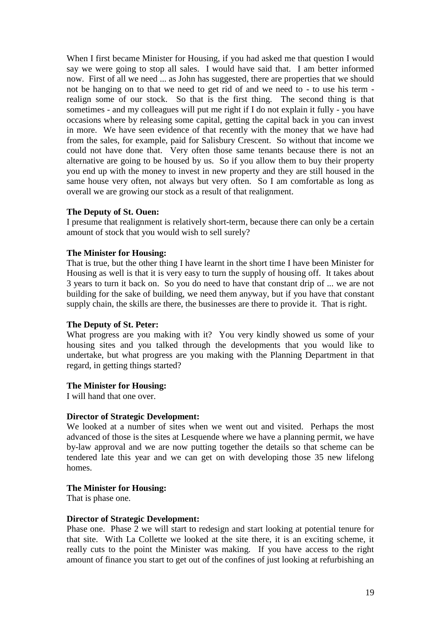When I first became Minister for Housing, if you had asked me that question I would say we were going to stop all sales. I would have said that. I am better informed now. First of all we need ... as John has suggested, there are properties that we should not be hanging on to that we need to get rid of and we need to - to use his term realign some of our stock. So that is the first thing. The second thing is that sometimes - and my colleagues will put me right if I do not explain it fully - you have occasions where by releasing some capital, getting the capital back in you can invest in more. We have seen evidence of that recently with the money that we have had from the sales, for example, paid for Salisbury Crescent. So without that income we could not have done that. Very often those same tenants because there is not an alternative are going to be housed by us. So if you allow them to buy their property you end up with the money to invest in new property and they are still housed in the same house very often, not always but very often. So I am comfortable as long as overall we are growing our stock as a result of that realignment.

### **The Deputy of St. Ouen:**

I presume that realignment is relatively short-term, because there can only be a certain amount of stock that you would wish to sell surely?

#### **The Minister for Housing:**

That is true, but the other thing I have learnt in the short time I have been Minister for Housing as well is that it is very easy to turn the supply of housing off. It takes about 3 years to turn it back on. So you do need to have that constant drip of ... we are not building for the sake of building, we need them anyway, but if you have that constant supply chain, the skills are there, the businesses are there to provide it. That is right.

### **The Deputy of St. Peter:**

What progress are you making with it? You very kindly showed us some of your housing sites and you talked through the developments that you would like to undertake, but what progress are you making with the Planning Department in that regard, in getting things started?

### **The Minister for Housing:**

I will hand that one over.

#### **Director of Strategic Development:**

We looked at a number of sites when we went out and visited. Perhaps the most advanced of those is the sites at Lesquende where we have a planning permit, we have by-law approval and we are now putting together the details so that scheme can be tendered late this year and we can get on with developing those 35 new lifelong homes.

### **The Minister for Housing:**

That is phase one.

#### **Director of Strategic Development:**

Phase one. Phase 2 we will start to redesign and start looking at potential tenure for that site. With La Collette we looked at the site there, it is an exciting scheme, it really cuts to the point the Minister was making. If you have access to the right amount of finance you start to get out of the confines of just looking at refurbishing an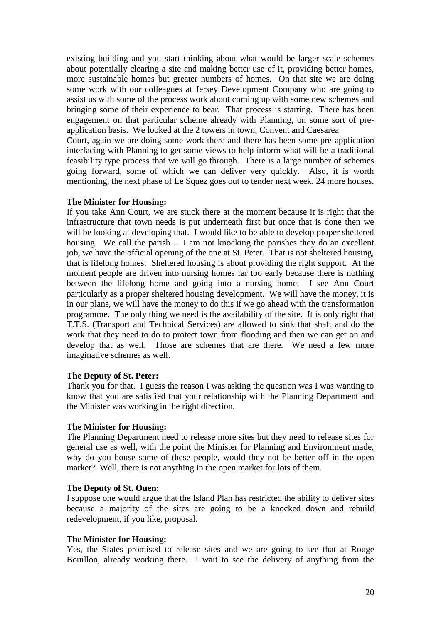existing building and you start thinking about what would be larger scale schemes about potentially clearing a site and making better use of it, providing better homes, more sustainable homes but greater numbers of homes. On that site we are doing some work with our colleagues at Jersey Development Company who are going to assist us with some of the process work about coming up with some new schemes and bringing some of their experience to bear. That process is starting. There has been engagement on that particular scheme already with Planning, on some sort of preapplication basis. We looked at the 2 towers in town, Convent and Caesarea

Court, again we are doing some work there and there has been some pre-application interfacing with Planning to get some views to help inform what will be a traditional feasibility type process that we will go through. There is a large number of schemes going forward, some of which we can deliver very quickly. Also, it is worth mentioning, the next phase of Le Squez goes out to tender next week, 24 more houses.

### **The Minister for Housing:**

If you take Ann Court, we are stuck there at the moment because it is right that the infrastructure that town needs is put underneath first but once that is done then we will be looking at developing that. I would like to be able to develop proper sheltered housing. We call the parish ... I am not knocking the parishes they do an excellent job, we have the official opening of the one at St. Peter. That is not sheltered housing, that is lifelong homes. Sheltered housing is about providing the right support. At the moment people are driven into nursing homes far too early because there is nothing between the lifelong home and going into a nursing home. I see Ann Court particularly as a proper sheltered housing development. We will have the money, it is in our plans, we will have the money to do this if we go ahead with the transformation programme. The only thing we need is the availability of the site. It is only right that T.T.S. (Transport and Technical Services) are allowed to sink that shaft and do the work that they need to do to protect town from flooding and then we can get on and develop that as well. Those are schemes that are there. We need a few more imaginative schemes as well.

#### **The Deputy of St. Peter:**

Thank you for that. I guess the reason I was asking the question was I was wanting to know that you are satisfied that your relationship with the Planning Department and the Minister was working in the right direction.

#### **The Minister for Housing:**

The Planning Department need to release more sites but they need to release sites for general use as well, with the point the Minister for Planning and Environment made, why do you house some of these people, would they not be better off in the open market? Well, there is not anything in the open market for lots of them.

#### **The Deputy of St. Ouen:**

I suppose one would argue that the Island Plan has restricted the ability to deliver sites because a majority of the sites are going to be a knocked down and rebuild redevelopment, if you like, proposal.

#### **The Minister for Housing:**

Yes, the States promised to release sites and we are going to see that at Rouge Bouillon, already working there. I wait to see the delivery of anything from the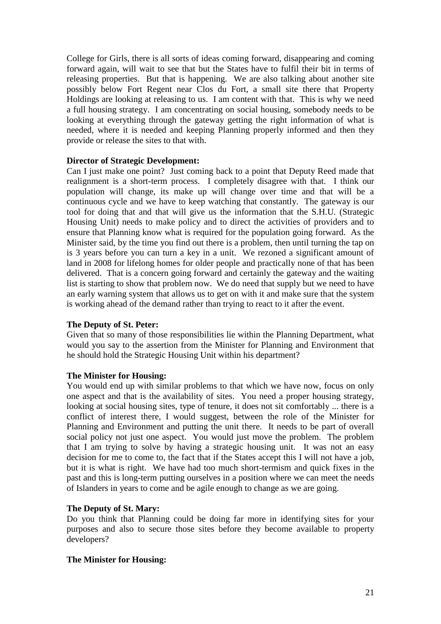College for Girls, there is all sorts of ideas coming forward, disappearing and coming forward again, will wait to see that but the States have to fulfil their bit in terms of releasing properties. But that is happening. We are also talking about another site possibly below Fort Regent near Clos du Fort, a small site there that Property Holdings are looking at releasing to us. I am content with that. This is why we need a full housing strategy. I am concentrating on social housing, somebody needs to be looking at everything through the gateway getting the right information of what is needed, where it is needed and keeping Planning properly informed and then they provide or release the sites to that with.

# **Director of Strategic Development:**

Can I just make one point? Just coming back to a point that Deputy Reed made that realignment is a short-term process. I completely disagree with that. I think our population will change, its make up will change over time and that will be a continuous cycle and we have to keep watching that constantly. The gateway is our tool for doing that and that will give us the information that the S.H.U. (Strategic Housing Unit) needs to make policy and to direct the activities of providers and to ensure that Planning know what is required for the population going forward. As the Minister said, by the time you find out there is a problem, then until turning the tap on is 3 years before you can turn a key in a unit. We rezoned a significant amount of land in 2008 for lifelong homes for older people and practically none of that has been delivered. That is a concern going forward and certainly the gateway and the waiting list is starting to show that problem now. We do need that supply but we need to have an early warning system that allows us to get on with it and make sure that the system is working ahead of the demand rather than trying to react to it after the event.

### **The Deputy of St. Peter:**

Given that so many of those responsibilities lie within the Planning Department, what would you say to the assertion from the Minister for Planning and Environment that he should hold the Strategic Housing Unit within his department?

# **The Minister for Housing:**

You would end up with similar problems to that which we have now, focus on only one aspect and that is the availability of sites. You need a proper housing strategy, looking at social housing sites, type of tenure, it does not sit comfortably ... there is a conflict of interest there, I would suggest, between the role of the Minister for Planning and Environment and putting the unit there. It needs to be part of overall social policy not just one aspect. You would just move the problem. The problem that I am trying to solve by having a strategic housing unit. It was not an easy decision for me to come to, the fact that if the States accept this I will not have a job, but it is what is right. We have had too much short-termism and quick fixes in the past and this is long-term putting ourselves in a position where we can meet the needs of Islanders in years to come and be agile enough to change as we are going.

### **The Deputy of St. Mary:**

Do you think that Planning could be doing far more in identifying sites for your purposes and also to secure those sites before they become available to property developers?

# **The Minister for Housing:**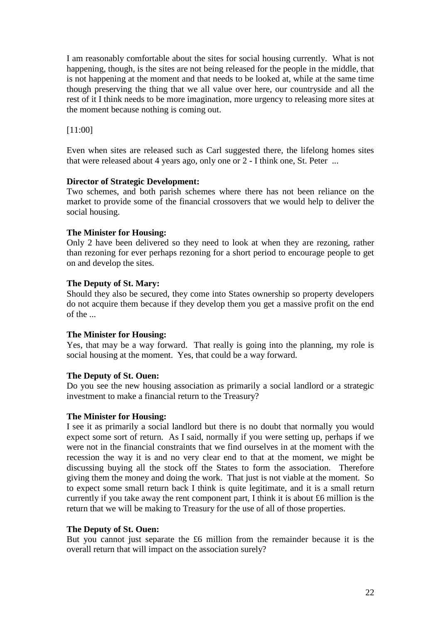I am reasonably comfortable about the sites for social housing currently. What is not happening, though, is the sites are not being released for the people in the middle, that is not happening at the moment and that needs to be looked at, while at the same time though preserving the thing that we all value over here, our countryside and all the rest of it I think needs to be more imagination, more urgency to releasing more sites at the moment because nothing is coming out.

[11:00]

Even when sites are released such as Carl suggested there, the lifelong homes sites that were released about 4 years ago, only one or 2 - I think one, St. Peter ...

# **Director of Strategic Development:**

Two schemes, and both parish schemes where there has not been reliance on the market to provide some of the financial crossovers that we would help to deliver the social housing.

# **The Minister for Housing:**

Only 2 have been delivered so they need to look at when they are rezoning, rather than rezoning for ever perhaps rezoning for a short period to encourage people to get on and develop the sites.

# **The Deputy of St. Mary:**

Should they also be secured, they come into States ownership so property developers do not acquire them because if they develop them you get a massive profit on the end of the ...

### **The Minister for Housing:**

Yes, that may be a way forward. That really is going into the planning, my role is social housing at the moment. Yes, that could be a way forward.

# **The Deputy of St. Ouen:**

Do you see the new housing association as primarily a social landlord or a strategic investment to make a financial return to the Treasury?

### **The Minister for Housing:**

I see it as primarily a social landlord but there is no doubt that normally you would expect some sort of return. As I said, normally if you were setting up, perhaps if we were not in the financial constraints that we find ourselves in at the moment with the recession the way it is and no very clear end to that at the moment, we might be discussing buying all the stock off the States to form the association. Therefore giving them the money and doing the work. That just is not viable at the moment. So to expect some small return back I think is quite legitimate, and it is a small return currently if you take away the rent component part, I think it is about £6 million is the return that we will be making to Treasury for the use of all of those properties.

### **The Deputy of St. Ouen:**

But you cannot just separate the £6 million from the remainder because it is the overall return that will impact on the association surely?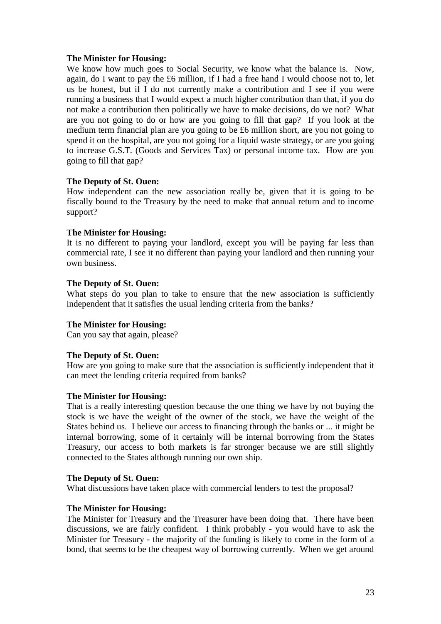We know how much goes to Social Security, we know what the balance is. Now, again, do I want to pay the £6 million, if I had a free hand I would choose not to, let us be honest, but if I do not currently make a contribution and I see if you were running a business that I would expect a much higher contribution than that, if you do not make a contribution then politically we have to make decisions, do we not? What are you not going to do or how are you going to fill that gap? If you look at the medium term financial plan are you going to be £6 million short, are you not going to spend it on the hospital, are you not going for a liquid waste strategy, or are you going to increase G.S.T. (Goods and Services Tax) or personal income tax. How are you going to fill that gap?

# **The Deputy of St. Ouen:**

How independent can the new association really be, given that it is going to be fiscally bound to the Treasury by the need to make that annual return and to income support?

# **The Minister for Housing:**

It is no different to paying your landlord, except you will be paying far less than commercial rate, I see it no different than paying your landlord and then running your own business.

# **The Deputy of St. Ouen:**

What steps do you plan to take to ensure that the new association is sufficiently independent that it satisfies the usual lending criteria from the banks?

# **The Minister for Housing:**

Can you say that again, please?

### **The Deputy of St. Ouen:**

How are you going to make sure that the association is sufficiently independent that it can meet the lending criteria required from banks?

### **The Minister for Housing:**

That is a really interesting question because the one thing we have by not buying the stock is we have the weight of the owner of the stock, we have the weight of the States behind us. I believe our access to financing through the banks or ... it might be internal borrowing, some of it certainly will be internal borrowing from the States Treasury, our access to both markets is far stronger because we are still slightly connected to the States although running our own ship.

### **The Deputy of St. Ouen:**

What discussions have taken place with commercial lenders to test the proposal?

# **The Minister for Housing:**

The Minister for Treasury and the Treasurer have been doing that. There have been discussions, we are fairly confident. I think probably - you would have to ask the Minister for Treasury - the majority of the funding is likely to come in the form of a bond, that seems to be the cheapest way of borrowing currently. When we get around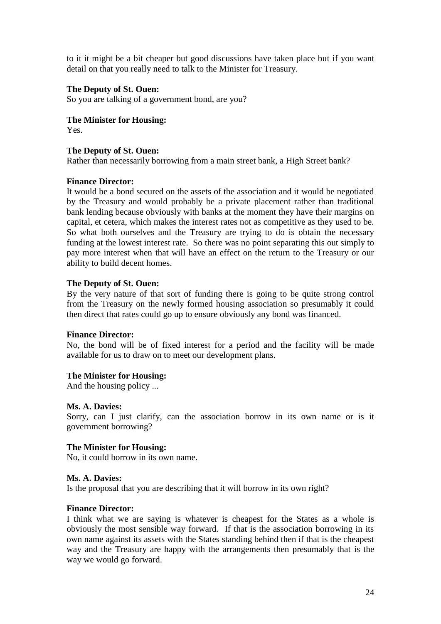to it it might be a bit cheaper but good discussions have taken place but if you want detail on that you really need to talk to the Minister for Treasury.

## **The Deputy of St. Ouen:**

So you are talking of a government bond, are you?

**The Minister for Housing:**

Yes.

### **The Deputy of St. Ouen:**

Rather than necessarily borrowing from a main street bank, a High Street bank?

### **Finance Director:**

It would be a bond secured on the assets of the association and it would be negotiated by the Treasury and would probably be a private placement rather than traditional bank lending because obviously with banks at the moment they have their margins on capital, et cetera, which makes the interest rates not as competitive as they used to be. So what both ourselves and the Treasury are trying to do is obtain the necessary funding at the lowest interest rate. So there was no point separating this out simply to pay more interest when that will have an effect on the return to the Treasury or our ability to build decent homes.

### **The Deputy of St. Ouen:**

By the very nature of that sort of funding there is going to be quite strong control from the Treasury on the newly formed housing association so presumably it could then direct that rates could go up to ensure obviously any bond was financed.

### **Finance Director:**

No, the bond will be of fixed interest for a period and the facility will be made available for us to draw on to meet our development plans.

### **The Minister for Housing:**

And the housing policy ...

### **Ms. A. Davies:**

Sorry, can I just clarify, can the association borrow in its own name or is it government borrowing?

### **The Minister for Housing:**

No, it could borrow in its own name.

### **Ms. A. Davies:**

Is the proposal that you are describing that it will borrow in its own right?

### **Finance Director:**

I think what we are saying is whatever is cheapest for the States as a whole is obviously the most sensible way forward. If that is the association borrowing in its own name against its assets with the States standing behind then if that is the cheapest way and the Treasury are happy with the arrangements then presumably that is the way we would go forward.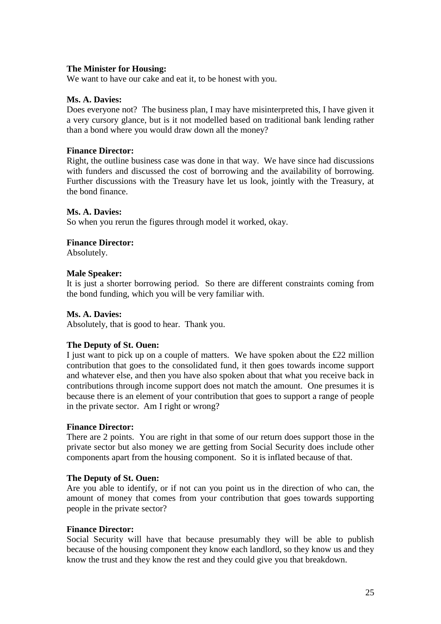We want to have our cake and eat it, to be honest with you.

## **Ms. A. Davies:**

Does everyone not? The business plan, I may have misinterpreted this, I have given it a very cursory glance, but is it not modelled based on traditional bank lending rather than a bond where you would draw down all the money?

## **Finance Director:**

Right, the outline business case was done in that way. We have since had discussions with funders and discussed the cost of borrowing and the availability of borrowing. Further discussions with the Treasury have let us look, jointly with the Treasury, at the bond finance.

### **Ms. A. Davies:**

So when you rerun the figures through model it worked, okay.

### **Finance Director:**

Absolutely.

### **Male Speaker:**

It is just a shorter borrowing period. So there are different constraints coming from the bond funding, which you will be very familiar with.

## **Ms. A. Davies:**

Absolutely, that is good to hear. Thank you.

### **The Deputy of St. Ouen:**

I just want to pick up on a couple of matters. We have spoken about the £22 million contribution that goes to the consolidated fund, it then goes towards income support and whatever else, and then you have also spoken about that what you receive back in contributions through income support does not match the amount. One presumes it is because there is an element of your contribution that goes to support a range of people in the private sector. Am I right or wrong?

### **Finance Director:**

There are 2 points. You are right in that some of our return does support those in the private sector but also money we are getting from Social Security does include other components apart from the housing component. So it is inflated because of that.

### **The Deputy of St. Ouen:**

Are you able to identify, or if not can you point us in the direction of who can, the amount of money that comes from your contribution that goes towards supporting people in the private sector?

### **Finance Director:**

Social Security will have that because presumably they will be able to publish because of the housing component they know each landlord, so they know us and they know the trust and they know the rest and they could give you that breakdown.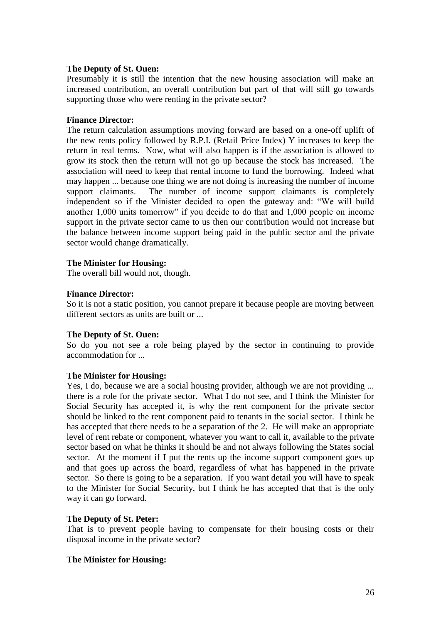#### **The Deputy of St. Ouen:**

Presumably it is still the intention that the new housing association will make an increased contribution, an overall contribution but part of that will still go towards supporting those who were renting in the private sector?

#### **Finance Director:**

The return calculation assumptions moving forward are based on a one-off uplift of the new rents policy followed by R.P.I. (Retail Price Index) Y increases to keep the return in real terms. Now, what will also happen is if the association is allowed to grow its stock then the return will not go up because the stock has increased. The association will need to keep that rental income to fund the borrowing. Indeed what may happen ... because one thing we are not doing is increasing the number of income support claimants. The number of income support claimants is completely independent so if the Minister decided to open the gateway and: "We will build another 1,000 units tomorrow" if you decide to do that and 1,000 people on income support in the private sector came to us then our contribution would not increase but the balance between income support being paid in the public sector and the private sector would change dramatically.

### **The Minister for Housing:**

The overall bill would not, though.

#### **Finance Director:**

So it is not a static position, you cannot prepare it because people are moving between different sectors as units are built or ...

#### **The Deputy of St. Ouen:**

So do you not see a role being played by the sector in continuing to provide accommodation for ...

### **The Minister for Housing:**

Yes, I do, because we are a social housing provider, although we are not providing ... there is a role for the private sector. What I do not see, and I think the Minister for Social Security has accepted it, is why the rent component for the private sector should be linked to the rent component paid to tenants in the social sector. I think he has accepted that there needs to be a separation of the 2. He will make an appropriate level of rent rebate or component, whatever you want to call it, available to the private sector based on what he thinks it should be and not always following the States social sector. At the moment if I put the rents up the income support component goes up and that goes up across the board, regardless of what has happened in the private sector. So there is going to be a separation. If you want detail you will have to speak to the Minister for Social Security, but I think he has accepted that that is the only way it can go forward.

#### **The Deputy of St. Peter:**

That is to prevent people having to compensate for their housing costs or their disposal income in the private sector?

### **The Minister for Housing:**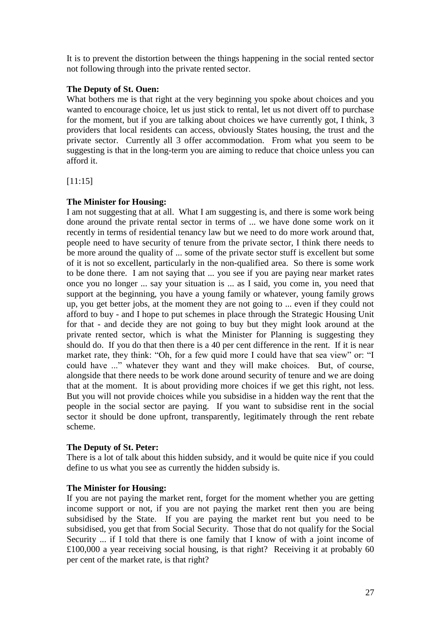It is to prevent the distortion between the things happening in the social rented sector not following through into the private rented sector.

# **The Deputy of St. Ouen:**

What bothers me is that right at the very beginning you spoke about choices and you wanted to encourage choice, let us just stick to rental, let us not divert off to purchase for the moment, but if you are talking about choices we have currently got, I think, 3 providers that local residents can access, obviously States housing, the trust and the private sector. Currently all 3 offer accommodation. From what you seem to be suggesting is that in the long-term you are aiming to reduce that choice unless you can afford it.

[11:15]

# **The Minister for Housing:**

I am not suggesting that at all. What I am suggesting is, and there is some work being done around the private rental sector in terms of ... we have done some work on it recently in terms of residential tenancy law but we need to do more work around that, people need to have security of tenure from the private sector, I think there needs to be more around the quality of ... some of the private sector stuff is excellent but some of it is not so excellent, particularly in the non-qualified area. So there is some work to be done there. I am not saying that ... you see if you are paying near market rates once you no longer ... say your situation is ... as I said, you come in, you need that support at the beginning, you have a young family or whatever, young family grows up, you get better jobs, at the moment they are not going to ... even if they could not afford to buy - and I hope to put schemes in place through the Strategic Housing Unit for that - and decide they are not going to buy but they might look around at the private rented sector, which is what the Minister for Planning is suggesting they should do. If you do that then there is a 40 per cent difference in the rent. If it is near market rate, they think: "Oh, for a few quid more I could have that sea view" or: "I could have ..." whatever they want and they will make choices. But, of course, alongside that there needs to be work done around security of tenure and we are doing that at the moment. It is about providing more choices if we get this right, not less. But you will not provide choices while you subsidise in a hidden way the rent that the people in the social sector are paying. If you want to subsidise rent in the social sector it should be done upfront, transparently, legitimately through the rent rebate scheme.

# **The Deputy of St. Peter:**

There is a lot of talk about this hidden subsidy, and it would be quite nice if you could define to us what you see as currently the hidden subsidy is.

# **The Minister for Housing:**

If you are not paying the market rent, forget for the moment whether you are getting income support or not, if you are not paying the market rent then you are being subsidised by the State. If you are paying the market rent but you need to be subsidised, you get that from Social Security. Those that do not qualify for the Social Security ... if I told that there is one family that I know of with a joint income of £100,000 a year receiving social housing, is that right? Receiving it at probably 60 per cent of the market rate, is that right?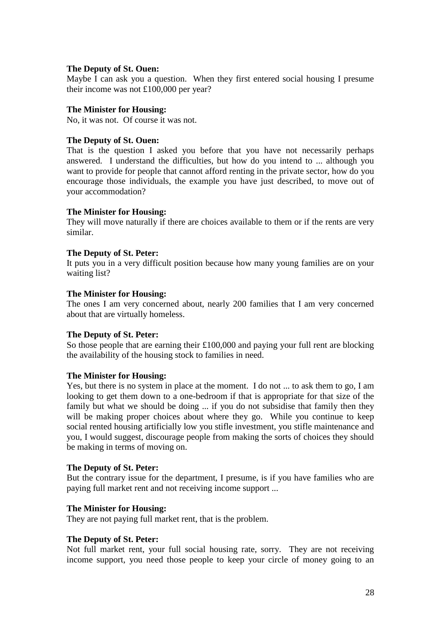### **The Deputy of St. Ouen:**

Maybe I can ask you a question. When they first entered social housing I presume their income was not £100,000 per year?

# **The Minister for Housing:**

No, it was not. Of course it was not.

## **The Deputy of St. Ouen:**

That is the question I asked you before that you have not necessarily perhaps answered. I understand the difficulties, but how do you intend to ... although you want to provide for people that cannot afford renting in the private sector, how do you encourage those individuals, the example you have just described, to move out of your accommodation?

# **The Minister for Housing:**

They will move naturally if there are choices available to them or if the rents are very similar.

# **The Deputy of St. Peter:**

It puts you in a very difficult position because how many young families are on your waiting list?

# **The Minister for Housing:**

The ones I am very concerned about, nearly 200 families that I am very concerned about that are virtually homeless.

# **The Deputy of St. Peter:**

So those people that are earning their £100,000 and paying your full rent are blocking the availability of the housing stock to families in need.

# **The Minister for Housing:**

Yes, but there is no system in place at the moment. I do not ... to ask them to go, I am looking to get them down to a one-bedroom if that is appropriate for that size of the family but what we should be doing ... if you do not subsidise that family then they will be making proper choices about where they go. While you continue to keep social rented housing artificially low you stifle investment, you stifle maintenance and you, I would suggest, discourage people from making the sorts of choices they should be making in terms of moving on.

### **The Deputy of St. Peter:**

But the contrary issue for the department, I presume, is if you have families who are paying full market rent and not receiving income support ...

# **The Minister for Housing:**

They are not paying full market rent, that is the problem.

# **The Deputy of St. Peter:**

Not full market rent, your full social housing rate, sorry. They are not receiving income support, you need those people to keep your circle of money going to an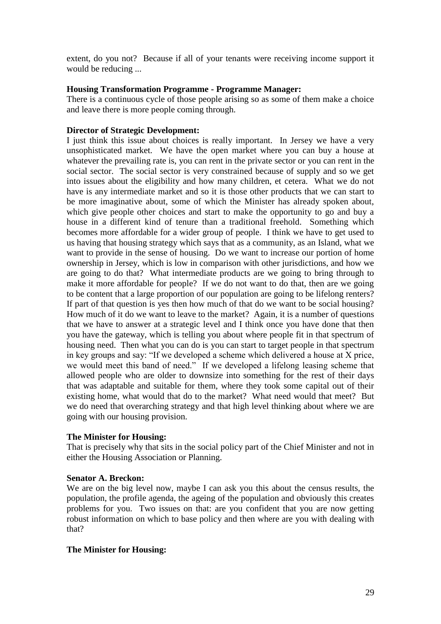extent, do you not? Because if all of your tenants were receiving income support it would be reducing ...

## **Housing Transformation Programme - Programme Manager:**

There is a continuous cycle of those people arising so as some of them make a choice and leave there is more people coming through.

## **Director of Strategic Development:**

I just think this issue about choices is really important. In Jersey we have a very unsophisticated market. We have the open market where you can buy a house at whatever the prevailing rate is, you can rent in the private sector or you can rent in the social sector. The social sector is very constrained because of supply and so we get into issues about the eligibility and how many children, et cetera. What we do not have is any intermediate market and so it is those other products that we can start to be more imaginative about, some of which the Minister has already spoken about, which give people other choices and start to make the opportunity to go and buy a house in a different kind of tenure than a traditional freehold. Something which becomes more affordable for a wider group of people. I think we have to get used to us having that housing strategy which says that as a community, as an Island, what we want to provide in the sense of housing. Do we want to increase our portion of home ownership in Jersey, which is low in comparison with other jurisdictions, and how we are going to do that? What intermediate products are we going to bring through to make it more affordable for people? If we do not want to do that, then are we going to be content that a large proportion of our population are going to be lifelong renters? If part of that question is yes then how much of that do we want to be social housing? How much of it do we want to leave to the market? Again, it is a number of questions that we have to answer at a strategic level and I think once you have done that then you have the gateway, which is telling you about where people fit in that spectrum of housing need. Then what you can do is you can start to target people in that spectrum in key groups and say: "If we developed a scheme which delivered a house at X price, we would meet this band of need." If we developed a lifelong leasing scheme that allowed people who are older to downsize into something for the rest of their days that was adaptable and suitable for them, where they took some capital out of their existing home, what would that do to the market? What need would that meet? But we do need that overarching strategy and that high level thinking about where we are going with our housing provision.

### **The Minister for Housing:**

That is precisely why that sits in the social policy part of the Chief Minister and not in either the Housing Association or Planning.

### **Senator A. Breckon:**

We are on the big level now, maybe I can ask you this about the census results, the population, the profile agenda, the ageing of the population and obviously this creates problems for you. Two issues on that: are you confident that you are now getting robust information on which to base policy and then where are you with dealing with that?

### **The Minister for Housing:**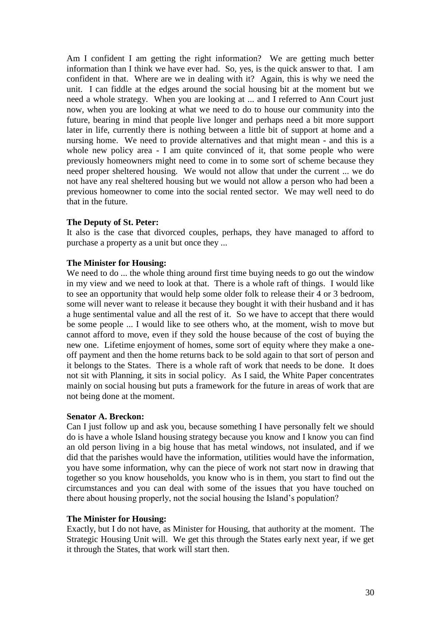Am I confident I am getting the right information? We are getting much better information than I think we have ever had. So, yes, is the quick answer to that. I am confident in that. Where are we in dealing with it? Again, this is why we need the unit. I can fiddle at the edges around the social housing bit at the moment but we need a whole strategy. When you are looking at ... and I referred to Ann Court just now, when you are looking at what we need to do to house our community into the future, bearing in mind that people live longer and perhaps need a bit more support later in life, currently there is nothing between a little bit of support at home and a nursing home. We need to provide alternatives and that might mean - and this is a whole new policy area - I am quite convinced of it, that some people who were previously homeowners might need to come in to some sort of scheme because they need proper sheltered housing. We would not allow that under the current ... we do not have any real sheltered housing but we would not allow a person who had been a previous homeowner to come into the social rented sector. We may well need to do that in the future.

### **The Deputy of St. Peter:**

It also is the case that divorced couples, perhaps, they have managed to afford to purchase a property as a unit but once they ...

# **The Minister for Housing:**

We need to do ... the whole thing around first time buying needs to go out the window in my view and we need to look at that. There is a whole raft of things. I would like to see an opportunity that would help some older folk to release their 4 or 3 bedroom, some will never want to release it because they bought it with their husband and it has a huge sentimental value and all the rest of it. So we have to accept that there would be some people ... I would like to see others who, at the moment, wish to move but cannot afford to move, even if they sold the house because of the cost of buying the new one. Lifetime enjoyment of homes, some sort of equity where they make a oneoff payment and then the home returns back to be sold again to that sort of person and it belongs to the States. There is a whole raft of work that needs to be done. It does not sit with Planning, it sits in social policy. As I said, the White Paper concentrates mainly on social housing but puts a framework for the future in areas of work that are not being done at the moment.

### **Senator A. Breckon:**

Can I just follow up and ask you, because something I have personally felt we should do is have a whole Island housing strategy because you know and I know you can find an old person living in a big house that has metal windows, not insulated, and if we did that the parishes would have the information, utilities would have the information, you have some information, why can the piece of work not start now in drawing that together so you know households, you know who is in them, you start to find out the circumstances and you can deal with some of the issues that you have touched on there about housing properly, not the social housing the Island's population?

### **The Minister for Housing:**

Exactly, but I do not have, as Minister for Housing, that authority at the moment. The Strategic Housing Unit will. We get this through the States early next year, if we get it through the States, that work will start then.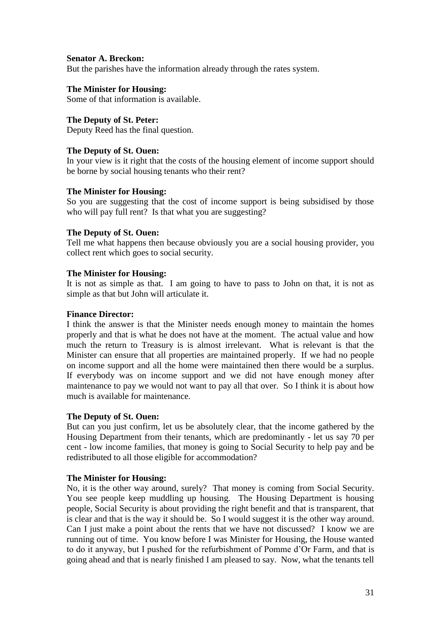## **Senator A. Breckon:**

But the parishes have the information already through the rates system.

## **The Minister for Housing:**

Some of that information is available.

## **The Deputy of St. Peter:**

Deputy Reed has the final question.

# **The Deputy of St. Ouen:**

In your view is it right that the costs of the housing element of income support should be borne by social housing tenants who their rent?

### **The Minister for Housing:**

So you are suggesting that the cost of income support is being subsidised by those who will pay full rent? Is that what you are suggesting?

### **The Deputy of St. Ouen:**

Tell me what happens then because obviously you are a social housing provider, you collect rent which goes to social security.

### **The Minister for Housing:**

It is not as simple as that. I am going to have to pass to John on that, it is not as simple as that but John will articulate it.

#### **Finance Director:**

I think the answer is that the Minister needs enough money to maintain the homes properly and that is what he does not have at the moment. The actual value and how much the return to Treasury is is almost irrelevant. What is relevant is that the Minister can ensure that all properties are maintained properly. If we had no people on income support and all the home were maintained then there would be a surplus. If everybody was on income support and we did not have enough money after maintenance to pay we would not want to pay all that over. So I think it is about how much is available for maintenance.

### **The Deputy of St. Ouen:**

But can you just confirm, let us be absolutely clear, that the income gathered by the Housing Department from their tenants, which are predominantly - let us say 70 per cent - low income families, that money is going to Social Security to help pay and be redistributed to all those eligible for accommodation?

### **The Minister for Housing:**

No, it is the other way around, surely? That money is coming from Social Security. You see people keep muddling up housing. The Housing Department is housing people, Social Security is about providing the right benefit and that is transparent, that is clear and that is the way it should be. So I would suggest it is the other way around. Can I just make a point about the rents that we have not discussed? I know we are running out of time. You know before I was Minister for Housing, the House wanted to do it anyway, but I pushed for the refurbishment of Pomme d'Or Farm, and that is going ahead and that is nearly finished I am pleased to say. Now, what the tenants tell